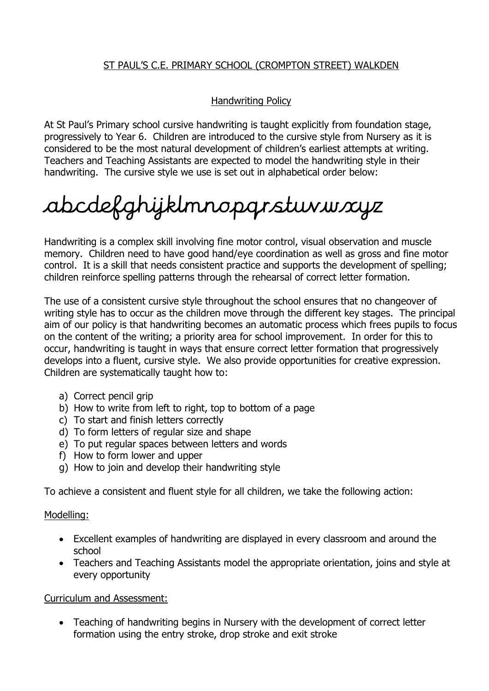# ST PAUL'S C.E. PRIMARY SCHOOL (CROMPTON STREET) WALKDEN

## Handwriting Policy

At St Paul's Primary school cursive handwriting is taught explicitly from foundation stage, progressively to Year 6. Children are introduced to the cursive style from Nursery as it is considered to be the most natural development of children's earliest attempts at writing. Teachers and Teaching Assistants are expected to model the handwriting style in their handwriting. The cursive style we use is set out in alphabetical order below:

# abcdefghijklmnopqrstuvwxyz

Handwriting is a complex skill involving fine motor control, visual observation and muscle memory. Children need to have good hand/eye coordination as well as gross and fine motor control. It is a skill that needs consistent practice and supports the development of spelling; children reinforce spelling patterns through the rehearsal of correct letter formation.

The use of a consistent cursive style throughout the school ensures that no changeover of writing style has to occur as the children move through the different key stages. The principal aim of our policy is that handwriting becomes an automatic process which frees pupils to focus on the content of the writing; a priority area for school improvement. In order for this to occur, handwriting is taught in ways that ensure correct letter formation that progressively develops into a fluent, cursive style. We also provide opportunities for creative expression. Children are systematically taught how to:

- a) Correct pencil grip
- b) How to write from left to right, top to bottom of a page
- c) To start and finish letters correctly
- d) To form letters of regular size and shape
- e) To put regular spaces between letters and words
- f) How to form lower and upper
- g) How to join and develop their handwriting style

To achieve a consistent and fluent style for all children, we take the following action:

#### Modelling:

- Excellent examples of handwriting are displayed in every classroom and around the school
- Teachers and Teaching Assistants model the appropriate orientation, joins and style at every opportunity

#### Curriculum and Assessment:

 Teaching of handwriting begins in Nursery with the development of correct letter formation using the entry stroke, drop stroke and exit stroke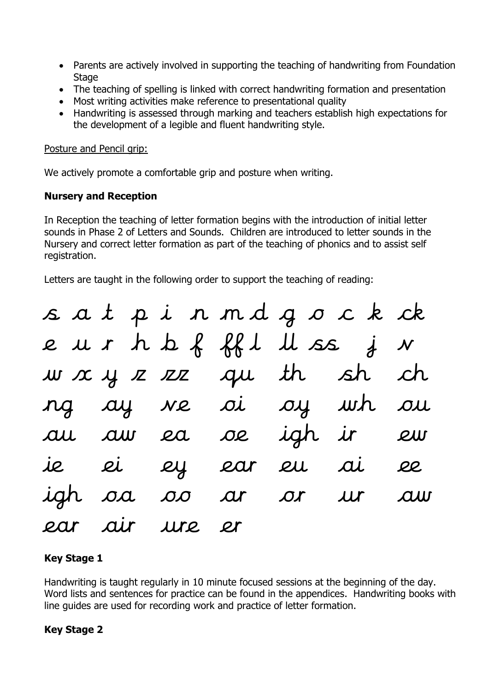- Parents are actively involved in supporting the teaching of handwriting from Foundation **Stage**
- The teaching of spelling is linked with correct handwriting formation and presentation
- Most writing activities make reference to presentational quality
- Handwriting is assessed through marking and teachers establish high expectations for the development of a legible and fluent handwriting style.

#### Posture and Pencil grip:

We actively promote a comfortable grip and posture when writing.

## **Nursery and Reception**

In Reception the teaching of letter formation begins with the introduction of initial letter sounds in Phase 2 of Letters and Sounds. Children are introduced to letter sounds in the Nursery and correct letter formation as part of the teaching of phonics and to assist self registration.

Letters are taught in the following order to support the teaching of reading:

|  |                | sat pinmdgock ck         |  |  |
|--|----------------|--------------------------|--|--|
|  |                | eur h b f ff l ll ss j v |  |  |
|  |                | w x y z zz qu th sh ch   |  |  |
|  |                | ng  ay ve oi  oy wh ou   |  |  |
|  |                | au aw ea oe igh ir ew    |  |  |
|  |                | ie ei ey ear eu ai ee    |  |  |
|  |                | igh oa oo ar or ur aw    |  |  |
|  | ear air ure er |                          |  |  |

# **Key Stage 1**

Handwriting is taught regularly in 10 minute focused sessions at the beginning of the day. Word lists and sentences for practice can be found in the appendices. Handwriting books with line guides are used for recording work and practice of letter formation.

# **Key Stage 2**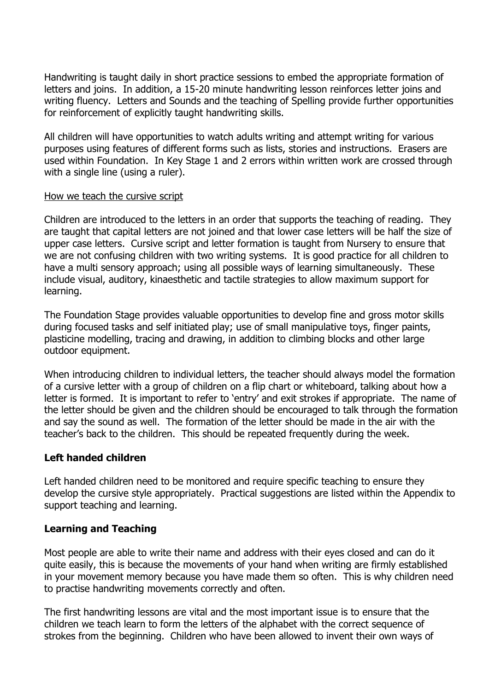Handwriting is taught daily in short practice sessions to embed the appropriate formation of letters and joins. In addition, a 15-20 minute handwriting lesson reinforces letter joins and writing fluency. Letters and Sounds and the teaching of Spelling provide further opportunities for reinforcement of explicitly taught handwriting skills.

All children will have opportunities to watch adults writing and attempt writing for various purposes using features of different forms such as lists, stories and instructions. Erasers are used within Foundation. In Key Stage 1 and 2 errors within written work are crossed through with a single line (using a ruler).

#### How we teach the cursive script

Children are introduced to the letters in an order that supports the teaching of reading. They are taught that capital letters are not joined and that lower case letters will be half the size of upper case letters. Cursive script and letter formation is taught from Nursery to ensure that we are not confusing children with two writing systems. It is good practice for all children to have a multi sensory approach; using all possible ways of learning simultaneously. These include visual, auditory, kinaesthetic and tactile strategies to allow maximum support for learning.

The Foundation Stage provides valuable opportunities to develop fine and gross motor skills during focused tasks and self initiated play; use of small manipulative toys, finger paints, plasticine modelling, tracing and drawing, in addition to climbing blocks and other large outdoor equipment.

When introducing children to individual letters, the teacher should always model the formation of a cursive letter with a group of children on a flip chart or whiteboard, talking about how a letter is formed. It is important to refer to 'entry' and exit strokes if appropriate. The name of the letter should be given and the children should be encouraged to talk through the formation and say the sound as well. The formation of the letter should be made in the air with the teacher's back to the children. This should be repeated frequently during the week.

## **Left handed children**

Left handed children need to be monitored and require specific teaching to ensure they develop the cursive style appropriately. Practical suggestions are listed within the Appendix to support teaching and learning.

## **Learning and Teaching**

Most people are able to write their name and address with their eyes closed and can do it quite easily, this is because the movements of your hand when writing are firmly established in your movement memory because you have made them so often. This is why children need to practise handwriting movements correctly and often.

The first handwriting lessons are vital and the most important issue is to ensure that the children we teach learn to form the letters of the alphabet with the correct sequence of strokes from the beginning. Children who have been allowed to invent their own ways of